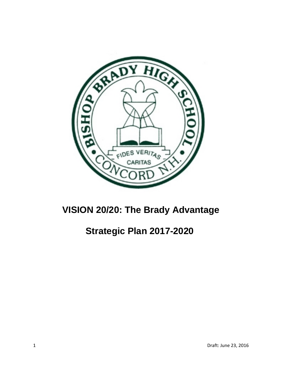

# **VISION 20/20: The Brady Advantage**

# **Strategic Plan 2017-2020**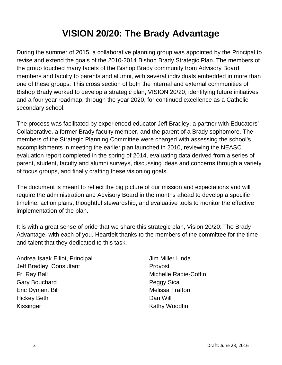# **VISION 20/20: The Brady Advantage**

During the summer of 2015, a collaborative planning group was appointed by the Principal to revise and extend the goals of the 2010-2014 Bishop Brady Strategic Plan. The members of the group touched many facets of the Bishop Brady community from Advisory Board members and faculty to parents and alumni, with several individuals embedded in more than one of these groups. This cross section of both the internal and external communities of Bishop Brady worked to develop a strategic plan, VISION 20/20, identifying future initiatives and a four year roadmap, through the year 2020, for continued excellence as a Catholic secondary school.

The process was facilitated by experienced educator Jeff Bradley, a partner with Educators' Collaborative, a former Brady faculty member, and the parent of a Brady sophomore. The members of the Strategic Planning Committee were charged with assessing the school's accomplishments in meeting the earlier plan launched in 2010, reviewing the NEASC evaluation report completed in the spring of 2014, evaluating data derived from a series of parent, student, faculty and alumni surveys, discussing ideas and concerns through a variety of focus groups, and finally crafting these visioning goals.

The document is meant to reflect the big picture of our mission and expectations and will require the administration and Advisory Board in the months ahead to develop a specific timeline, action plans, thoughtful stewardship, and evaluative tools to monitor the effective implementation of the plan.

It is with a great sense of pride that we share this strategic plan, Vision 20/20: The Brady Advantage, with each of you. Heartfelt thanks to the members of the committee for the time and talent that they dedicated to this task.

Andrea Isaak Elliot, Principal Jeff Bradley, Consultant Fr. Ray Ball Gary Bouchard Eric Dyment Bill Hickey Beth Kissinger

Jim Miller Linda Provost Michelle Radie-Coffin Peggy Sica Melissa Trafton Dan Will Kathy Woodfin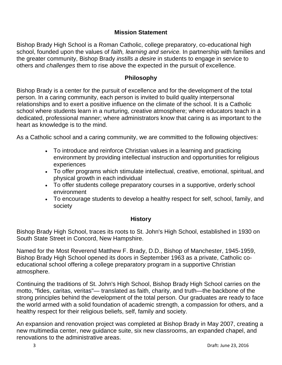# **Mission Statement**

Bishop Brady High School is a Roman Catholic, college preparatory, co-educational high school, founded upon the values of *faith, learning and service.* In partnership with families and the greater community, Bishop Brady *instills a desire* in students to engage in service to others and *challenges* them to rise above the expected in the pursuit of excellence.

# **Philosophy**

Bishop Brady is a center for the pursuit of excellence and for the development of the total person. In a caring community, each person is invited to build quality interpersonal relationships and to exert a positive influence on the climate of the school. It is a Catholic school where students learn in a nurturing, creative atmosphere; where educators teach in a dedicated, professional manner; where administrators know that caring is as important to the heart as knowledge is to the mind.

As a Catholic school and a caring community, we are committed to the following objectives:

- To introduce and reinforce Christian values in a learning and practicing environment by providing intellectual instruction and opportunities for religious experiences
- To offer programs which stimulate intellectual, creative, emotional, spiritual, and physical growth in each individual
- To offer students college preparatory courses in a supportive, orderly school environment
- To encourage students to develop a healthy respect for self, school, family, and society

## **History**

Bishop Brady High School, traces its roots to St. John's High School, established in 1930 on South State Street in Concord, New Hampshire.

Named for the Most Reverend Matthew F. Brady, D.D., Bishop of Manchester, 1945-1959, Bishop Brady High School opened its doors in September 1963 as a private, Catholic coeducational school offering a college preparatory program in a supportive Christian atmosphere.

Continuing the traditions of St. John's High School, Bishop Brady High School carries on the motto, "fides, caritas, veritas"— translated as faith, charity, and truth—the backbone of the strong principles behind the development of the total person. Our graduates are ready to face the world armed with a solid foundation of academic strength, a compassion for others, and a healthy respect for their religious beliefs, self, family and society.

An expansion and renovation project was completed at Bishop Brady in May 2007, creating a new multimedia center, new guidance suite, six new classrooms, an expanded chapel, and renovations to the administrative areas.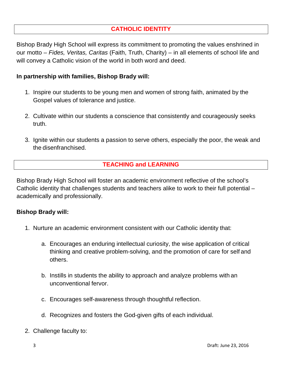# **CATHOLIC IDENTITY**

Bishop Brady High School will express its commitment to promoting the values enshrined in our motto – *Fides, Veritas, Caritas* (Faith, Truth, Charity) – in all elements of school life and will convey a Catholic vision of the world in both word and deed.

#### **In partnership with families, Bishop Brady will:**

- 1. Inspire our students to be young men and women of strong faith, animated by the Gospel values of tolerance and justice.
- 2. Cultivate within our students a conscience that consistently and courageously seeks truth.
- 3. Ignite within our students a passion to serve others, especially the poor, the weak and the disenfranchised.

## **TEACHING and LEARNING**

Bishop Brady High School will foster an academic environment reflective of the school's Catholic identity that challenges students and teachers alike to work to their full potential – academically and professionally.

#### **Bishop Brady will:**

- 1. Nurture an academic environment consistent with our Catholic identity that:
	- a. Encourages an enduring intellectual curiosity, the wise application of critical thinking and creative problem-solving, and the promotion of care for self and others.
	- b. Instills in students the ability to approach and analyze problems with an unconventional fervor.
	- c. Encourages self-awareness through thoughtful reflection.
	- d. Recognizes and fosters the God-given gifts of each individual.
- 2. Challenge faculty to: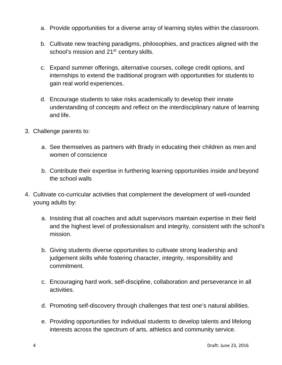- a. Provide opportunities for a diverse array of learning styles within the classroom.
- b. Cultivate new teaching paradigms, philosophies, and practices aligned with the school's mission and 21<sup>st</sup> century skills.
- c. Expand summer offerings, alternative courses, college credit options, and internships to extend the traditional program with opportunities for students to gain real world experiences.
- d. Encourage students to take risks academically to develop their innate understanding of concepts and reflect on the interdisciplinary nature of learning and life.
- 3. Challenge parents to:
	- a. See themselves as partners with Brady in educating their children as men and women of conscience
	- b. Contribute their expertise in furthering learning opportunities inside and beyond the school walls
- 4. Cultivate co-curricular activities that complement the development of well-rounded young adults by:
	- a. Insisting that all coaches and adult supervisors maintain expertise in their field and the highest level of professionalism and integrity, consistent with the school's mission.
	- b. Giving students diverse opportunities to cultivate strong leadership and judgement skills while fostering character, integrity, responsibility and commitment.
	- c. Encouraging hard work, self-discipline, collaboration and perseverance in all activities.
	- d. Promoting self-discovery through challenges that test one's natural abilities.
	- e. Providing opportunities for individual students to develop talents and lifelong interests across the spectrum of arts, athletics and community service.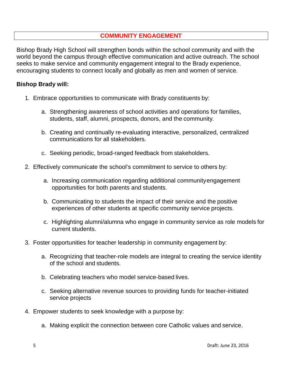### **COMMUNITY ENGAGEMENT**

Bishop Brady High School will strengthen bonds within the school community and with the world beyond the campus through effective communication and active outreach. The school seeks to make service and community engagement integral to the Brady experience, encouraging students to connect locally and globally as men and women of service.

#### **Bishop Brady will:**

- 1. Embrace opportunities to communicate with Brady constituents by:
	- a. Strengthening awareness of school activities and operations for families, students, staff, alumni, prospects, donors, and the community.
	- b. Creating and continually re-evaluating interactive, personalized, centralized communications for all stakeholders.
	- c. Seeking periodic, broad-ranged feedback from stakeholders.
- 2. Effectively communicate the school's commitment to service to others by:
	- a. Increasing communication regarding additional communityengagement opportunities for both parents and students.
	- b. Communicating to students the impact of their service and the positive experiences of other students at specific community service projects.
	- c. Highlighting alumni/alumna who engage in community service as role models for current students.
- 3. Foster opportunities for teacher leadership in community engagement by:
	- a. Recognizing that teacher-role models are integral to creating the service identity of the school and students.
	- b. Celebrating teachers who model service-based lives.
	- c. Seeking alternative revenue sources to providing funds for teacher-initiated service projects
- 4. Empower students to seek knowledge with a purpose by:
	- a. Making explicit the connection between core Catholic values and service.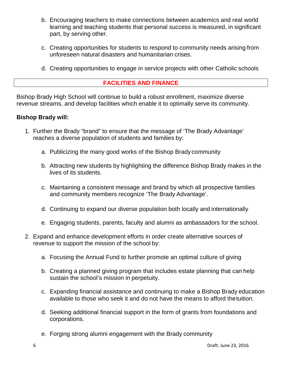- b. Encouraging teachers to make connections between academics and real world learning and teaching students that personal success is measured, in significant part, by serving other.
- c. Creating opportunities for students to respond to community needs arising from unforeseen natural disasters and humanitarian crises.
- d. Creating opportunities to engage in service projects with other Catholic schools

### **FACILITIES AND FINANCE**

Bishop Brady High School will continue to build a robust enrollment, maximize diverse revenue streams, and develop facilities which enable it to optimally serve its community.

#### **Bishop Brady will:**

- 1. Further the Brady "brand" to ensure that the message of 'The Brady Advantage' reaches a diverse population of students and families by:
	- a. Publicizing the many good works of the Bishop Bradycommunity
	- b. Attracting new students by highlighting the difference Bishop Brady makes in the lives of its students.
	- c. Maintaining a consistent message and brand by which all prospective families and community members recognize 'The Brady Advantage'.
	- d. Continuing to expand our diverse population both locally and internationally
	- e. Engaging students, parents, faculty and alumni as ambassadors for the school.
- 2. Expand and enhance development efforts in order create alternative sources of revenue to support the mission of the school by:
	- a. Focusing the Annual Fund to further promote an optimal culture of giving
	- b. Creating a planned giving program that includes estate planning that can help sustain the school's mission in perpetuity.
	- c. Expanding financial assistance and continuing to make a Bishop Brady education available to those who seek it and do not have the means to afford thetuition.
	- d. Seeking additional financial support in the form of grants from foundations and corporations.
	- e. Forging strong alumni engagement with the Brady community